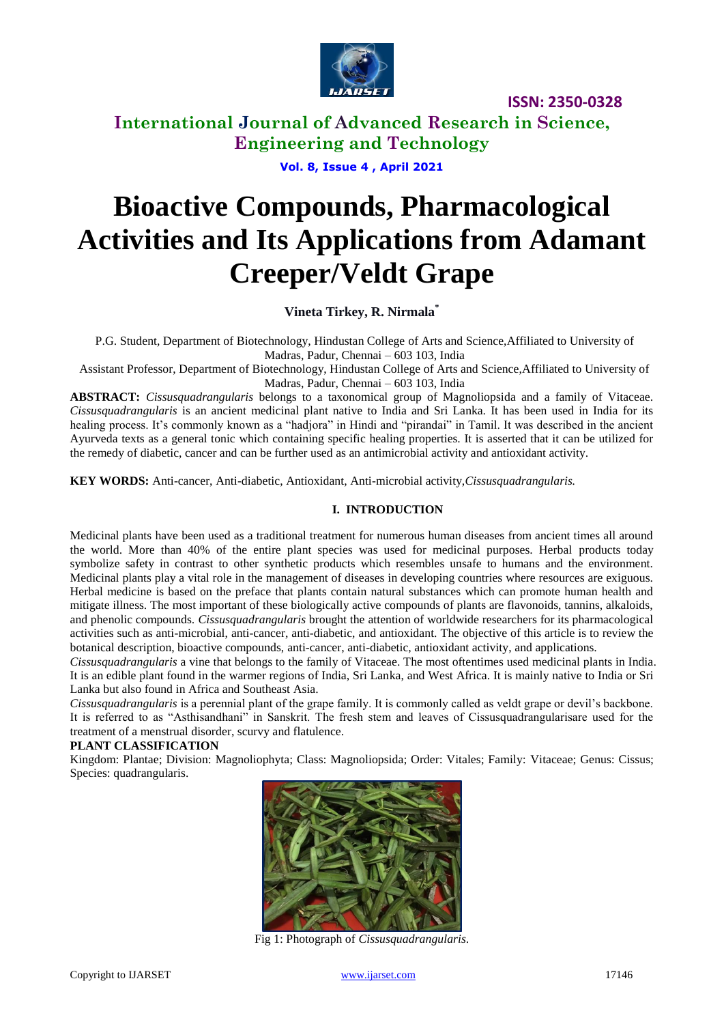

# **International Journal of Advanced Research in Science, Engineering and Technology**

**Vol. 8, Issue 4 , April 2021**

# **Bioactive Compounds, Pharmacological Activities and Its Applications from Adamant Creeper/Veldt Grape**

**Vineta Tirkey, R. Nirmala\***

P.G. Student, Department of Biotechnology, Hindustan College of Arts and Science,Affiliated to University of Madras, Padur, Chennai – 603 103, India

Assistant Professor, Department of Biotechnology, Hindustan College of Arts and Science,Affiliated to University of Madras, Padur, Chennai – 603 103, India

**ABSTRACT:** *Cissusquadrangularis* belongs to a taxonomical group of Magnoliopsida and a family of Vitaceae. *Cissusquadrangularis* is an ancient medicinal plant native to India and Sri Lanka. It has been used in India for its healing process. It's commonly known as a "hadjora" in Hindi and "pirandai" in Tamil. It was described in the ancient Ayurveda texts as a general tonic which containing specific healing properties. It is asserted that it can be utilized for the remedy of diabetic, cancer and can be further used as an antimicrobial activity and antioxidant activity.

**KEY WORDS:** Anti-cancer, Anti-diabetic, Antioxidant, Anti-microbial activity,*Cissusquadrangularis.*

## **I. INTRODUCTION**

Medicinal plants have been used as a traditional treatment for numerous human diseases from ancient times all around the world. More than 40% of the entire plant species was used for medicinal purposes. Herbal products today symbolize safety in contrast to other synthetic products which resembles unsafe to humans and the environment. Medicinal plants play a vital role in the management of diseases in developing countries where resources are exiguous. Herbal medicine is based on the preface that plants contain natural substances which can promote human health and mitigate illness. The most important of these biologically active compounds of plants are flavonoids, tannins, alkaloids, and phenolic compounds. *Cissusquadrangularis* brought the attention of worldwide researchers for its pharmacological activities such as anti-microbial, anti-cancer, anti-diabetic, and antioxidant. The objective of this article is to review the botanical description, bioactive compounds, anti-cancer, anti-diabetic, antioxidant activity, and applications.

*Cissusquadrangularis* a vine that belongs to the family of Vitaceae. The most oftentimes used medicinal plants in India. It is an edible plant found in the warmer regions of India, Sri Lanka, and West Africa. It is mainly native to India or Sri Lanka but also found in Africa and Southeast Asia.

*Cissusquadrangularis* is a perennial plant of the grape family. It is commonly called as veldt grape or devil's backbone. It is referred to as "Asthisandhani" in Sanskrit. The fresh stem and leaves of Cissusquadrangularisare used for the treatment of a menstrual disorder, scurvy and flatulence.

## **PLANT CLASSIFICATION**

Kingdom: Plantae; Division: Magnoliophyta; Class: Magnoliopsida; Order: Vitales; Family: Vitaceae; Genus: Cissus; Species: quadrangularis.



Fig 1: Photograph of *Cissusquadrangularis*.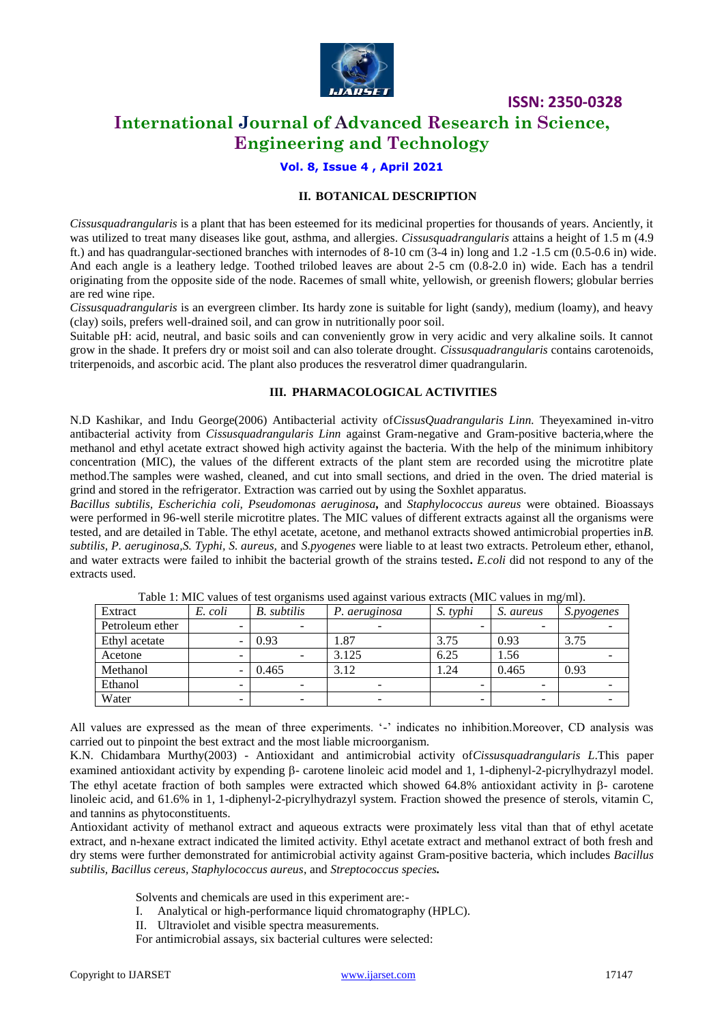

# **International Journal of Advanced Research in Science, Engineering and Technology**

## **Vol. 8, Issue 4 , April 2021**

## **II. BOTANICAL DESCRIPTION**

*Cissusquadrangularis* is a plant that has been esteemed for its medicinal properties for thousands of years. Anciently, it was utilized to treat many diseases like gout, asthma, and allergies. *Cissusquadrangularis* attains a height of 1.5 m (4.9 ft.) and has quadrangular-sectioned branches with internodes of 8-10 cm (3-4 in) long and 1.2 -1.5 cm (0.5-0.6 in) wide. And each angle is a leathery ledge. Toothed trilobed leaves are about 2-5 cm (0.8-2.0 in) wide. Each has a tendril originating from the opposite side of the node. Racemes of small white, yellowish, or greenish flowers; globular berries are red wine ripe.

*Cissusquadrangularis* is an evergreen climber. Its hardy zone is suitable for light (sandy), medium (loamy), and heavy (clay) soils, prefers well-drained soil, and can grow in nutritionally poor soil.

Suitable pH: acid, neutral, and basic soils and can conveniently grow in very acidic and very alkaline soils. It cannot grow in the shade. It prefers dry or moist soil and can also tolerate drought. *Cissusquadrangularis* contains carotenoids, triterpenoids, and ascorbic acid. The plant also produces the resveratrol dimer quadrangularin.

#### **III. PHARMACOLOGICAL ACTIVITIES**

N.D Kashikar, and Indu George(2006) Antibacterial activity of*CissusQuadrangularis Linn.* Theyexamined in-vitro antibacterial activity from *Cissusquadrangularis Linn* against Gram-negative and Gram-positive bacteria,where the methanol and ethyl acetate extract showed high activity against the bacteria. With the help of the minimum inhibitory concentration (MIC), the values of the different extracts of the plant stem are recorded using the microtitre plate method.The samples were washed, cleaned, and cut into small sections, and dried in the oven. The dried material is grind and stored in the refrigerator. Extraction was carried out by using the Soxhlet apparatus.

*Bacillus subtilis, Escherichia coli, Pseudomonas aeruginosa,* and *Staphylococcus aureus* were obtained. Bioassays were performed in 96-well sterile microtitre plates. The MIC values of different extracts against all the organisms were tested, and are detailed in Table. The ethyl acetate, acetone, and methanol extracts showed antimicrobial properties in*B. subtilis, P. aeruginosa,S. Typhi, S. aureus,* and *S.pyogenes* were liable to at least two extracts. Petroleum ether, ethanol, and water extracts were failed to inhibit the bacterial growth of the strains tested**.** *E.coli* did not respond to any of the extracts used.

| Extract         | E. coli | <b>B.</b> subtilis | P. aeruginosa | S. typhi | S. aureus | <i>S.pyogenes</i> |
|-----------------|---------|--------------------|---------------|----------|-----------|-------------------|
| Petroleum ether | -       |                    |               |          | -         |                   |
| Ethyl acetate   |         | 0.93               | 1.87          | 3.75     | 0.93      | 3.75              |
| Acetone         | -       |                    | 3.125         | 6.25     | 1.56      |                   |
| Methanol        |         | 0.465              | 3.12          | 1.24     | 0.465     | 0.93              |
| Ethanol         |         |                    |               |          |           |                   |
| Water           | -       |                    |               | -        |           |                   |

Table 1: MIC values of test organisms used against various extracts (MIC values in mg/ml).

All values are expressed as the mean of three experiments. '-' indicates no inhibition.Moreover, CD analysis was carried out to pinpoint the best extract and the most liable microorganism.

K.N. Chidambara Murthy(2003) - Antioxidant and antimicrobial activity of*Cissusquadrangularis L*.This paper examined antioxidant activity by expending  $\beta$ - carotene linoleic acid model and 1, 1-diphenyl-2-picrylhydrazyl model. The ethyl acetate fraction of both samples were extracted which showed  $64.8\%$  antioxidant activity in  $\beta$ - carotene linoleic acid, and 61.6% in 1, 1-diphenyl-2-picrylhydrazyl system. Fraction showed the presence of sterols, vitamin C, and tannins as phytoconstituents.

Antioxidant activity of methanol extract and aqueous extracts were proximately less vital than that of ethyl acetate extract, and n-hexane extract indicated the limited activity. Ethyl acetate extract and methanol extract of both fresh and dry stems were further demonstrated for antimicrobial activity against Gram-positive bacteria, which includes *Bacillus subtilis, Bacillus cereus, Staphylococcus aureus*, and *Streptococcus species.*

Solvents and chemicals are used in this experiment are:-

- I. Analytical or high-performance liquid chromatography (HPLC).
- II. Ultraviolet and visible spectra measurements.
- For antimicrobial assays, six bacterial cultures were selected: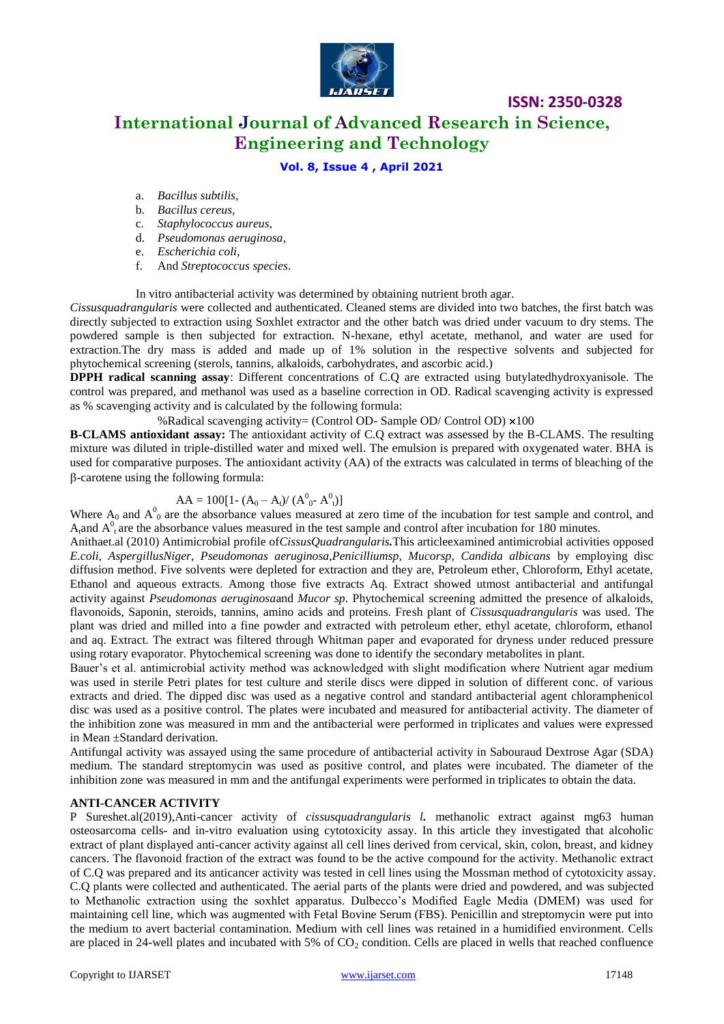

# **International Journal of Advanced Research in Science, Engineering and Technology**

**ISSN: 2350-0328**

## **Vol. 8, Issue 4 , April 2021**

- a. *Bacillus subtilis,*
- b*. Bacillus cereus,*
- c*. Staphylococcus aureus,*
- d. *Pseudomonas aeruginosa*,
- e. *Escherichia coli*,
- f. And *Streptococcus species*.

In vitro antibacterial activity was determined by obtaining nutrient broth agar.

*Cissusquadrangularis* were collected and authenticated. Cleaned stems are divided into two batches, the first batch was directly subjected to extraction using Soxhlet extractor and the other batch was dried under vacuum to dry stems. The powdered sample is then subjected for extraction. N-hexane, ethyl acetate, methanol, and water are used for extraction.The dry mass is added and made up of 1% solution in the respective solvents and subjected for phytochemical screening (sterols, tannins, alkaloids, carbohydrates, and ascorbic acid.)

**DPPH radical scanning assay**: Different concentrations of C.Q are extracted using butylatedhydroxyanisole. The control was prepared, and methanol was used as a baseline correction in OD. Radical scavenging activity is expressed as % scavenging activity and is calculated by the following formula:

%Radical scavenging activity= (Control OD- Sample OD/ Control OD)  $\times$ 100

**B-CLAMS antioxidant assay:** The antioxidant activity of C.Q extract was assessed by the B-CLAMS. The resulting mixture was diluted in triple-distilled water and mixed well. The emulsion is prepared with oxygenated water. BHA is used for comparative purposes. The antioxidant activity (AA) of the extracts was calculated in terms of bleaching of the -carotene using the following formula:

# $AA = 100[1-(A_0-A_t)/(A_{0}^0 - A_{t}^0)]$

Where  $A_0$  and  $A_0^0$  are the absorbance values measured at zero time of the incubation for test sample and control, and  $A_t$ and  $A_t^0$ <sub>t</sub> are the absorbance values measured in the test sample and control after incubation for 180 minutes.

Anithaet.al (2010) Antimicrobial profile of*CissusQuadrangularis.*This articleexamined antimicrobial activities opposed *E.coli, AspergillusNiger, Pseudomonas aeruginosa,Penicilliumsp, Mucorsp, Candida albicans* by employing disc diffusion method. Five solvents were depleted for extraction and they are, Petroleum ether, Chloroform, Ethyl acetate, Ethanol and aqueous extracts. Among those five extracts Aq. Extract showed utmost antibacterial and antifungal activity against *Pseudomonas aeruginosa*and *Mucor sp*. Phytochemical screening admitted the presence of alkaloids, flavonoids, Saponin, steroids, tannins, amino acids and proteins. Fresh plant of *Cissusquadrangularis* was used. The plant was dried and milled into a fine powder and extracted with petroleum ether, ethyl acetate, chloroform, ethanol and aq. Extract. The extract was filtered through Whitman paper and evaporated for dryness under reduced pressure using rotary evaporator. Phytochemical screening was done to identify the secondary metabolites in plant.

Bauer's et al. antimicrobial activity method was acknowledged with slight modification where Nutrient agar medium was used in sterile Petri plates for test culture and sterile discs were dipped in solution of different conc. of various extracts and dried. The dipped disc was used as a negative control and standard antibacterial agent chloramphenicol disc was used as a positive control. The plates were incubated and measured for antibacterial activity. The diameter of the inhibition zone was measured in mm and the antibacterial were performed in triplicates and values were expressed in Mean ±Standard derivation.

Antifungal activity was assayed using the same procedure of antibacterial activity in Sabouraud Dextrose Agar (SDA) medium. The standard streptomycin was used as positive control, and plates were incubated. The diameter of the inhibition zone was measured in mm and the antifungal experiments were performed in triplicates to obtain the data.

#### **ANTI-CANCER ACTIVITY**

P Sureshet.al(2019),Anti-cancer activity of *cissusquadrangularis l.* methanolic extract against mg63 human osteosarcoma cells- and in-vitro evaluation using cytotoxicity assay. In this article they investigated that alcoholic extract of plant displayed anti-cancer activity against all cell lines derived from cervical, skin, colon, breast, and kidney cancers. The flavonoid fraction of the extract was found to be the active compound for the activity. Methanolic extract of C.Q was prepared and its anticancer activity was tested in cell lines using the Mossman method of cytotoxicity assay. C.Q plants were collected and authenticated. The aerial parts of the plants were dried and powdered, and was subjected to Methanolic extraction using the soxhlet apparatus. Dulbecco's Modified Eagle Media (DMEM) was used for maintaining cell line, which was augmented with Fetal Bovine Serum (FBS). Penicillin and streptomycin were put into the medium to avert bacterial contamination. Medium with cell lines was retained in a humidified environment. Cells are placed in 24-well plates and incubated with 5% of  $CO<sub>2</sub>$  condition. Cells are placed in wells that reached confluence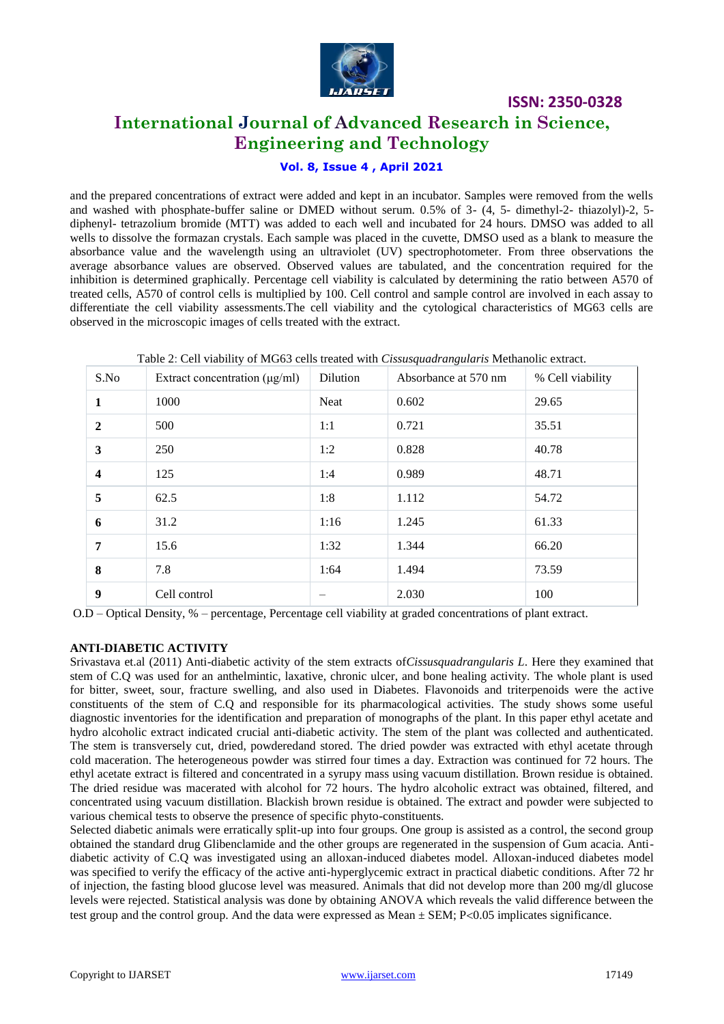

# **International Journal of Advanced Research in Science, Engineering and Technology**

# **Vol. 8, Issue 4 , April 2021**

and the prepared concentrations of extract were added and kept in an incubator. Samples were removed from the wells and washed with phosphate-buffer saline or DMED without serum. 0.5% of 3- (4, 5- dimethyl-2- thiazolyl)-2, 5 diphenyl- tetrazolium bromide (MTT) was added to each well and incubated for 24 hours. DMSO was added to all wells to dissolve the formazan crystals. Each sample was placed in the cuvette, DMSO used as a blank to measure the absorbance value and the wavelength using an ultraviolet (UV) spectrophotometer. From three observations the average absorbance values are observed. Observed values are tabulated, and the concentration required for the inhibition is determined graphically. Percentage cell viability is calculated by determining the ratio between A570 of treated cells, A570 of control cells is multiplied by 100. Cell control and sample control are involved in each assay to differentiate the cell viability assessments.The cell viability and the cytological characteristics of MG63 cells are observed in the microscopic images of cells treated with the extract.

| S.No                    | Extract concentration $(\mu g/ml)$ | Dilution | Absorbance at 570 nm | % Cell viability |
|-------------------------|------------------------------------|----------|----------------------|------------------|
| 1                       | 1000                               | Neat     | 0.602                | 29.65            |
| $\overline{2}$          | 500                                | 1:1      | 0.721                | 35.51            |
| 3                       | 250                                | 1:2      | 0.828                | 40.78            |
| $\overline{\mathbf{4}}$ | 125                                | 1:4      | 0.989                | 48.71            |
| 5                       | 62.5                               | 1:8      | 1.112                | 54.72            |
| 6                       | 31.2                               | 1:16     | 1.245                | 61.33            |
| 7                       | 15.6                               | 1:32     | 1.344                | 66.20            |
| 8                       | 7.8                                | 1:64     | 1.494                | 73.59            |
| 9                       | Cell control                       |          | 2.030                | 100              |

Table 2: Cell viability of MG63 cells treated with *Cissusquadrangularis* Methanolic extract.

O.D – Optical Density, % – percentage, Percentage cell viability at graded concentrations of plant extract.

#### **ANTI-DIABETIC ACTIVITY**

Srivastava et.al (2011) Anti-diabetic activity of the stem extracts of*Cissusquadrangularis L*. Here they examined that stem of C.Q was used for an anthelmintic, laxative, chronic ulcer, and bone healing activity. The whole plant is used for bitter, sweet, sour, fracture swelling, and also used in Diabetes. Flavonoids and triterpenoids were the active constituents of the stem of C.Q and responsible for its pharmacological activities. The study shows some useful diagnostic inventories for the identification and preparation of monographs of the plant. In this paper ethyl acetate and hydro alcoholic extract indicated crucial anti-diabetic activity. The stem of the plant was collected and authenticated. The stem is transversely cut, dried, powderedand stored. The dried powder was extracted with ethyl acetate through cold maceration. The heterogeneous powder was stirred four times a day. Extraction was continued for 72 hours. The ethyl acetate extract is filtered and concentrated in a syrupy mass using vacuum distillation. Brown residue is obtained. The dried residue was macerated with alcohol for 72 hours. The hydro alcoholic extract was obtained, filtered, and concentrated using vacuum distillation. Blackish brown residue is obtained. The extract and powder were subjected to various chemical tests to observe the presence of specific phyto-constituents.

Selected diabetic animals were erratically split-up into four groups. One group is assisted as a control, the second group obtained the standard drug Glibenclamide and the other groups are regenerated in the suspension of Gum acacia. Antidiabetic activity of C.Q was investigated using an alloxan-induced diabetes model. Alloxan-induced diabetes model was specified to verify the efficacy of the active anti-hyperglycemic extract in practical diabetic conditions. After 72 hr of injection, the fasting blood glucose level was measured. Animals that did not develop more than 200 mg/dl glucose levels were rejected. Statistical analysis was done by obtaining ANOVA which reveals the valid difference between the test group and the control group. And the data were expressed as Mean  $\pm$  SEM; P<0.05 implicates significance.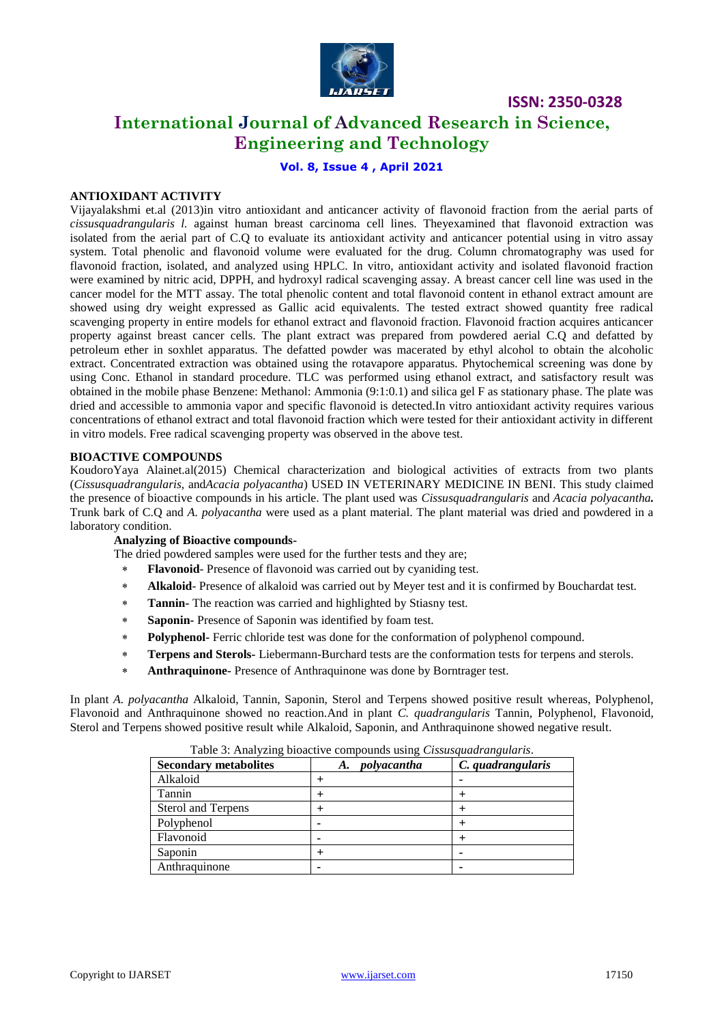

# **International Journal of Advanced Research in Science, Engineering and Technology**

### **Vol. 8, Issue 4 , April 2021**

#### **ANTIOXIDANT ACTIVITY**

Vijayalakshmi et.al (2013)in vitro antioxidant and anticancer activity of flavonoid fraction from the aerial parts of *cissusquadrangularis l.* against human breast carcinoma cell lines. Theyexamined that flavonoid extraction was isolated from the aerial part of C.Q to evaluate its antioxidant activity and anticancer potential using in vitro assay system. Total phenolic and flavonoid volume were evaluated for the drug. Column chromatography was used for flavonoid fraction, isolated, and analyzed using HPLC. In vitro, antioxidant activity and isolated flavonoid fraction were examined by nitric acid, DPPH, and hydroxyl radical scavenging assay. A breast cancer cell line was used in the cancer model for the MTT assay. The total phenolic content and total flavonoid content in ethanol extract amount are showed using dry weight expressed as Gallic acid equivalents. The tested extract showed quantity free radical scavenging property in entire models for ethanol extract and flavonoid fraction. Flavonoid fraction acquires anticancer property against breast cancer cells. The plant extract was prepared from powdered aerial C.Q and defatted by petroleum ether in soxhlet apparatus. The defatted powder was macerated by ethyl alcohol to obtain the alcoholic extract. Concentrated extraction was obtained using the rotavapore apparatus. Phytochemical screening was done by using Conc. Ethanol in standard procedure. TLC was performed using ethanol extract, and satisfactory result was obtained in the mobile phase Benzene: Methanol: Ammonia (9:1:0.1) and silica gel F as stationary phase. The plate was dried and accessible to ammonia vapor and specific flavonoid is detected.In vitro antioxidant activity requires various concentrations of ethanol extract and total flavonoid fraction which were tested for their antioxidant activity in different in vitro models. Free radical scavenging property was observed in the above test.

#### **BIOACTIVE COMPOUNDS**

KoudoroYaya Alainet.al(2015) Chemical characterization and biological activities of extracts from two plants (*Cissusquadrangularis*, and*Acacia polyacantha*) USED IN VETERINARY MEDICINE IN BENI. This study claimed the presence of bioactive compounds in his article. The plant used was *Cissusquadrangularis* and *Acacia polyacantha.*  Trunk bark of C.Q and *A. polyacantha* were used as a plant material. The plant material was dried and powdered in a laboratory condition.

#### **Analyzing of Bioactive compounds-**

The dried powdered samples were used for the further tests and they are;

- **Flavonoid** Presence of flavonoid was carried out by cyaniding test.
- **Alkaloid** Presence of alkaloid was carried out by Meyer test and it is confirmed by Bouchardat test.
- **Tannin-** The reaction was carried and highlighted by Stiasny test.
- **Saponin-** Presence of Saponin was identified by foam test.
- **Polyphenol-** Ferric chloride test was done for the conformation of polyphenol compound.
- **Terpens and Sterols-** Liebermann-Burchard tests are the conformation tests for terpens and sterols.
- **Anthraquinone-** Presence of Anthraquinone was done by Borntrager test.

In plant *A. polyacantha* Alkaloid, Tannin, Saponin, Sterol and Terpens showed positive result whereas, Polyphenol, Flavonoid and Anthraquinone showed no reaction.And in plant *C. quadrangularis* Tannin, Polyphenol, Flavonoid, Sterol and Terpens showed positive result while Alkaloid, Saponin, and Anthraquinone showed negative result.

| Table 5. Thialy ling bloach to compounds using Clasmagnum anginums. |                   |                   |  |  |  |  |
|---------------------------------------------------------------------|-------------------|-------------------|--|--|--|--|
| <b>Secondary metabolites</b>                                        | polyacantha<br>A. | C. quadrangularis |  |  |  |  |
| Alkaloid                                                            |                   |                   |  |  |  |  |
| Tannin                                                              |                   |                   |  |  |  |  |
| <b>Sterol and Terpens</b>                                           |                   |                   |  |  |  |  |
| Polyphenol                                                          |                   |                   |  |  |  |  |
| Flavonoid                                                           |                   |                   |  |  |  |  |
| Saponin                                                             |                   |                   |  |  |  |  |
| Anthraquinone                                                       |                   |                   |  |  |  |  |

Table 3: Analyzing bioactive compounds using *Cissusquadrangularis*.